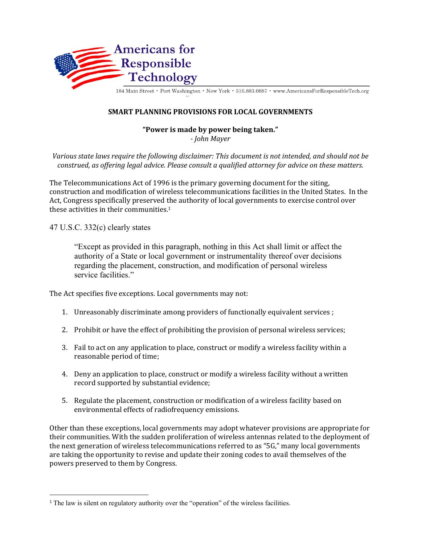

184 Main Street · Port Washington · New York · 516.883.0887 · www.AmericansForResponsibleTech.org

## **SMART PLANNING PROVISIONS FOR LOCAL GOVERNMENTS**

## **"Power is made by power being taken."** *- John Mayer*

Various state laws require the following disclaimer: This document is not intended, and should not be *construed, as offering legal advice. Please consult a qualified attorney for advice on these matters.* 

The Telecommunications Act of 1996 is the primary governing document for the siting, construction and modification of wireless telecommunications facilities in the United States. In the Act, Congress specifically preserved the authority of local governments to exercise control over these activities in their communities. $1$ 

47 U.S.C. 332(c) clearly states

"Except as provided in this paragraph, nothing in this Act shall limit or affect the authority of a State or local government or instrumentality thereof over decisions regarding the placement, construction, and modification of personal wireless service facilities."

The Act specifies five exceptions. Local governments may not:

- 1. Unreasonably discriminate among providers of functionally equivalent services ;
- 2. Prohibit or have the effect of prohibiting the provision of personal wireless services;
- 3. Fail to act on any application to place, construct or modify a wireless facility within a reasonable period of time;
- 4. Deny an application to place, construct or modify a wireless facility without a written record supported by substantial evidence;
- 5. Regulate the placement, construction or modification of a wireless facility based on environmental effects of radiofrequency emissions.

Other than these exceptions, local governments may adopt whatever provisions are appropriate for their communities. With the sudden proliferation of wireless antennas related to the deployment of the next generation of wireless telecommunications referred to as "5G," many local governments are taking the opportunity to revise and update their zoning codes to avail themselves of the powers preserved to them by Congress.

<sup>&</sup>lt;sup>1</sup> The law is silent on regulatory authority over the "operation" of the wireless facilities.